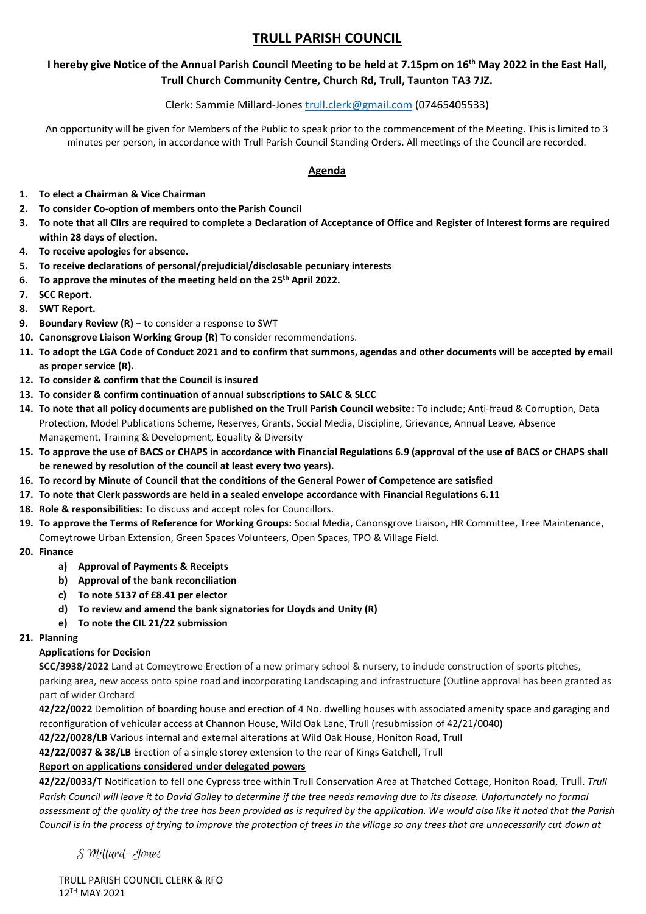# **TRULL PARISH COUNCIL**

## **I hereby give Notice of the Annual Parish Council Meeting to be held at 7.15pm on 16th May 2022 in the East Hall, Trull Church Community Centre, Church Rd, Trull, Taunton TA3 7JZ.**

## Clerk: Sammie Millard-Jones [trull.clerk@gmail.com](mailto:trull.clerk@gmail.com) (07465405533)

An opportunity will be given for Members of the Public to speak prior to the commencement of the Meeting. This is limited to 3 minutes per person, in accordance with Trull Parish Council Standing Orders. All meetings of the Council are recorded.

## **Agenda**

- **1. To elect a Chairman & Vice Chairman**
- **2. To consider Co-option of members onto the Parish Council**
- **3. To note that all Cllrs are required to complete a Declaration of Acceptance of Office and Register of Interest forms are required within 28 days of election.**
- **4. To receive apologies for absence.**
- **5. To receive declarations of personal/prejudicial/disclosable pecuniary interests**
- **6. To approve the minutes of the meeting held on the 25th April 2022.**
- **7. SCC Report.**
- **8. SWT Report.**
- **9. Boundary Review (R) –** to consider a response to SWT
- **10. Canonsgrove Liaison Working Group (R)** To consider recommendations.
- **11. To adopt the LGA Code of Conduct 2021 and to confirm that summons, agendas and other documents will be accepted by email as proper service (R).**
- **12. To consider & confirm that the Council is insured**
- **13. To consider & confirm continuation of annual subscriptions to SALC & SLCC**
- **14. To note that all policy documents are published on the Trull Parish Council website:** To include; Anti-fraud & Corruption, Data Protection, Model Publications Scheme, Reserves, Grants, Social Media, Discipline, Grievance, Annual Leave, Absence Management, Training & Development, Equality & Diversity
- **15. To approve the use of BACS or CHAPS in accordance with Financial Regulations 6.9 (approval of the use of BACS or CHAPS shall be renewed by resolution of the council at least every two years).**
- **16. To record by Minute of Council that the conditions of the General Power of Competence are satisfied**
- **17. To note that Clerk passwords are held in a sealed envelope accordance with Financial Regulations 6.11**
- **18. Role & responsibilities:** To discuss and accept roles for Councillors.
- **19. To approve the Terms of Reference for Working Groups:** Social Media, Canonsgrove Liaison, HR Committee, Tree Maintenance, Comeytrowe Urban Extension, Green Spaces Volunteers, Open Spaces, TPO & Village Field.
- **20. Finance**
	- **a) Approval of Payments & Receipts**
	- **b) Approval of the bank reconciliation**
	- **c) To note S137 of £8.41 per elector**
	- **d) To review and amend the bank signatories for Lloyds and Unity (R)**
	- **e) To note the CIL 21/22 submission**

#### **21. Planning**

## **Applications for Decision**

**SCC/3938/2022** Land at Comeytrowe Erection of a new primary school & nursery, to include construction of sports pitches, parking area, new access onto spine road and incorporating Landscaping and infrastructure (Outline approval has been granted as part of wider Orchard

**42/22/0022** Demolition of boarding house and erection of 4 No. dwelling houses with associated amenity space and garaging and reconfiguration of vehicular access at Channon House, Wild Oak Lane, Trull (resubmission of 42/21/0040)

**42/22/0028/LB** Various internal and external alterations at Wild Oak House, Honiton Road, Trull

**42/22/0037 & 38/LB** Erection of a single storey extension to the rear of Kings Gatchell, Trull

## **Report on applications considered under delegated powers**

**42/22/0033/T** Notification to fell one Cypress tree within Trull Conservation Area at Thatched Cottage, Honiton Road, Trull. *Trull*  Parish Council will leave it to David Galley to determine if the tree needs removing due to its disease. Unfortunately no formal *assessment of the quality of the tree has been provided as is required by the application. We would also like it noted that the Parish Council is in the process of trying to improve the protection of trees in the village so any trees that are unnecessarily cut down at* 

S Millard-Jones